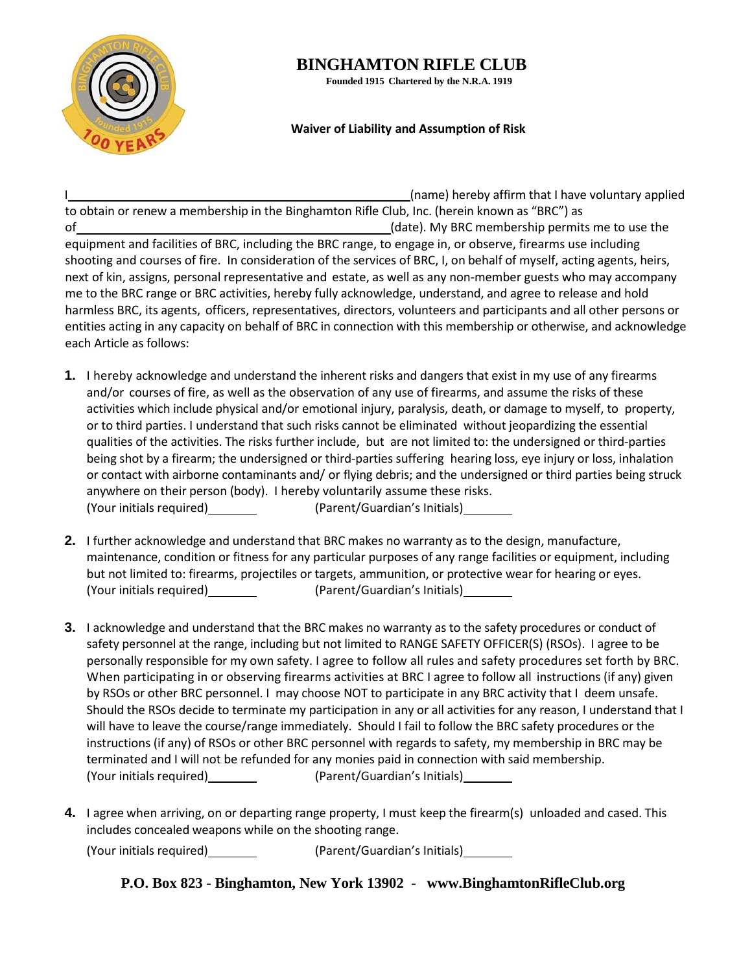

## **BINGHAMTON RIFLE CLUB**

**Founded 1915 Chartered by the N.R.A. 1919**

## **Waiver of Liability and Assumption of Risk**

I (name) hereby affirm that I have voluntary applied to obtain or renew a membership in the Binghamton Rifle Club, Inc. (herein known as "BRC") as of (date). My BRC membership permits me to use the equipment and facilities of BRC, including the BRC range, to engage in, or observe, firearms use including shooting and courses of fire. In consideration of the services of BRC, I, on behalf of myself, acting agents, heirs, next of kin, assigns, personal representative and estate, as well as any non-member guests who may accompany me to the BRC range or BRC activities, hereby fully acknowledge, understand, and agree to release and hold harmless BRC, its agents, officers, representatives, directors, volunteers and participants and all other persons or entities acting in any capacity on behalf of BRC in connection with this membership or otherwise, and acknowledge each Article as follows:

- **1.** I hereby acknowledge and understand the inherent risks and dangers that exist in my use of any firearms and/or courses of fire, as well as the observation of any use of firearms, and assume the risks of these activities which include physical and/or emotional injury, paralysis, death, or damage to myself, to property, or to third parties. I understand that such risks cannot be eliminated without jeopardizing the essential qualities of the activities. The risks further include, but are not limited to: the undersigned or third-parties being shot by a firearm; the undersigned or third-parties suffering hearing loss, eye injury or loss, inhalation or contact with airborne contaminants and/ or flying debris; and the undersigned or third parties being struck anywhere on their person (body). I hereby voluntarily assume these risks. (Your initials required) (Parent/Guardian's Initials)
- **2.** I further acknowledge and understand that BRC makes no warranty as to the design, manufacture, maintenance, condition or fitness for any particular purposes of any range facilities or equipment, including but not limited to: firearms, projectiles or targets, ammunition, or protective wear for hearing or eyes. (Your initials required) (Parent/Guardian's Initials)
- **3.** I acknowledge and understand that the BRC makes no warranty as to the safety procedures or conduct of safety personnel at the range, including but not limited to RANGE SAFETY OFFICER(S) (RSOs). I agree to be personally responsible for my own safety. I agree to follow all rules and safety procedures set forth by BRC. When participating in or observing firearms activities at BRC I agree to follow all instructions (if any) given by RSOs or other BRC personnel. I may choose NOT to participate in any BRC activity that I deem unsafe. Should the RSOs decide to terminate my participation in any or all activities for any reason, I understand that I will have to leave the course/range immediately. Should I fail to follow the BRC safety procedures or the instructions (if any) of RSOs or other BRC personnel with regards to safety, my membership in BRC may be terminated and I will not be refunded for any monies paid in connection with said membership. (Your initials required) (Parent/Guardian's Initials)
- **4.** I agree when arriving, on or departing range property, I must keep the firearm(s) unloaded and cased. This includes concealed weapons while on the shooting range.

(Your initials required) (Parent/Guardian's Initials)

**P.O. Box 823 - Binghamton, New York 13902 - www.BinghamtonRifleClub.org**